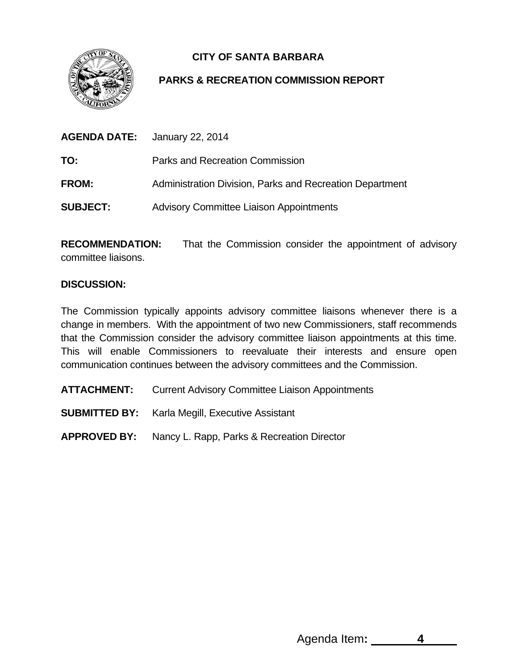

## **CITY OF SANTA BARBARA**

## **PARKS & RECREATION COMMISSION REPORT**

|                 | <b>AGENDA DATE:</b> January 22, 2014                     |  |  |
|-----------------|----------------------------------------------------------|--|--|
| TO:             | Parks and Recreation Commission                          |  |  |
| <b>FROM:</b>    | Administration Division, Parks and Recreation Department |  |  |
| <b>SUBJECT:</b> | <b>Advisory Committee Liaison Appointments</b>           |  |  |

**RECOMMENDATION:** That the Commission consider the appointment of advisory committee liaisons.

## **DISCUSSION:**

The Commission typically appoints advisory committee liaisons whenever there is a change in members. With the appointment of two new Commissioners, staff recommends that the Commission consider the advisory committee liaison appointments at this time. This will enable Commissioners to reevaluate their interests and ensure open communication continues between the advisory committees and the Commission.

**ATTACHMENT:** Current Advisory Committee Liaison Appointments

**SUBMITTED BY:** Karla Megill, Executive Assistant

**APPROVED BY:** Nancy L. Rapp, Parks & Recreation Director